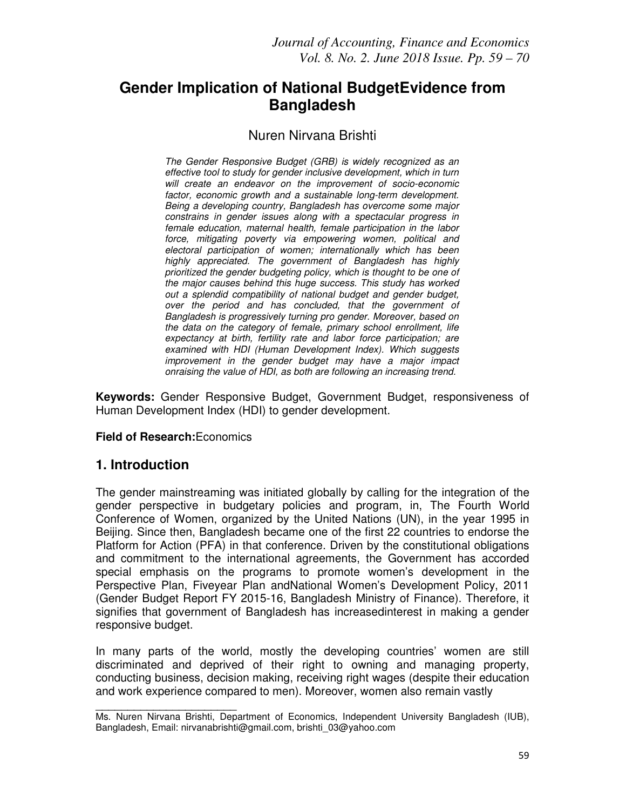# **Gender Implication of National BudgetEvidence from Bangladesh**

### Nuren Nirvana Brishti

*The Gender Responsive Budget (GRB) is widely recognized as an effective tool to study for gender inclusive development, which in turn will create an endeavor on the improvement of socio-economic factor, economic growth and a sustainable long-term development. Being a developing country, Bangladesh has overcome some major constrains in gender issues along with a spectacular progress in female education, maternal health, female participation in the labor force, mitigating poverty via empowering women, political and electoral participation of women; internationally which has been highly appreciated. The government of Bangladesh has highly prioritized the gender budgeting policy, which is thought to be one of the major causes behind this huge success. This study has worked out a splendid compatibility of national budget and gender budget, over the period and has concluded, that the government of Bangladesh is progressively turning pro gender. Moreover, based on the data on the category of female, primary school enrollment, life expectancy at birth, fertility rate and labor force participation; are examined with HDI (Human Development Index). Which suggests improvement in the gender budget may have a major impact onraising the value of HDI, as both are following an increasing trend.* 

**Keywords:** Gender Responsive Budget, Government Budget, responsiveness of Human Development Index (HDI) to gender development.

#### **Field of Research:**Economics

\_\_\_\_\_\_\_\_\_\_\_\_\_\_\_\_\_\_\_\_\_\_

### **1. Introduction**

The gender mainstreaming was initiated globally by calling for the integration of the gender perspective in budgetary policies and program, in, The Fourth World Conference of Women, organized by the United Nations (UN), in the year 1995 in Beijing. Since then, Bangladesh became one of the first 22 countries to endorse the Platform for Action (PFA) in that conference. Driven by the constitutional obligations and commitment to the international agreements, the Government has accorded special emphasis on the programs to promote women's development in the Perspective Plan, Fiveyear Plan andNational Women's Development Policy, 2011 (Gender Budget Report FY 2015-16, Bangladesh Ministry of Finance). Therefore, it signifies that government of Bangladesh has increasedinterest in making a gender responsive budget.

In many parts of the world, mostly the developing countries' women are still discriminated and deprived of their right to owning and managing property, conducting business, decision making, receiving right wages (despite their education and work experience compared to men). Moreover, women also remain vastly

Ms. Nuren Nirvana Brishti, Department of Economics, Independent University Bangladesh (IUB), Bangladesh, Email: nirvanabrishti@gmail.com, brishti\_03@yahoo.com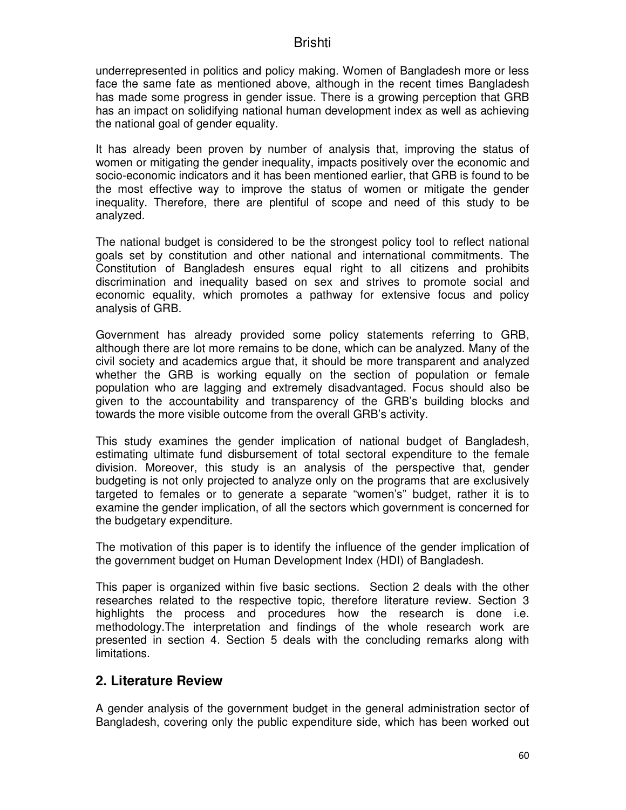underrepresented in politics and policy making. Women of Bangladesh more or less face the same fate as mentioned above, although in the recent times Bangladesh has made some progress in gender issue. There is a growing perception that GRB has an impact on solidifying national human development index as well as achieving the national goal of gender equality.

It has already been proven by number of analysis that, improving the status of women or mitigating the gender inequality, impacts positively over the economic and socio-economic indicators and it has been mentioned earlier, that GRB is found to be the most effective way to improve the status of women or mitigate the gender inequality. Therefore, there are plentiful of scope and need of this study to be analyzed.

The national budget is considered to be the strongest policy tool to reflect national goals set by constitution and other national and international commitments. The Constitution of Bangladesh ensures equal right to all citizens and prohibits discrimination and inequality based on sex and strives to promote social and economic equality, which promotes a pathway for extensive focus and policy analysis of GRB.

Government has already provided some policy statements referring to GRB, although there are lot more remains to be done, which can be analyzed. Many of the civil society and academics argue that, it should be more transparent and analyzed whether the GRB is working equally on the section of population or female population who are lagging and extremely disadvantaged. Focus should also be given to the accountability and transparency of the GRB's building blocks and towards the more visible outcome from the overall GRB's activity.

This study examines the gender implication of national budget of Bangladesh, estimating ultimate fund disbursement of total sectoral expenditure to the female division. Moreover, this study is an analysis of the perspective that, gender budgeting is not only projected to analyze only on the programs that are exclusively targeted to females or to generate a separate "women's" budget, rather it is to examine the gender implication, of all the sectors which government is concerned for the budgetary expenditure.

The motivation of this paper is to identify the influence of the gender implication of the government budget on Human Development Index (HDI) of Bangladesh.

This paper is organized within five basic sections. Section 2 deals with the other researches related to the respective topic, therefore literature review. Section 3 highlights the process and procedures how the research is done i.e. methodology.The interpretation and findings of the whole research work are presented in section 4. Section 5 deals with the concluding remarks along with limitations.

### **2. Literature Review**

A gender analysis of the government budget in the general administration sector of Bangladesh, covering only the public expenditure side, which has been worked out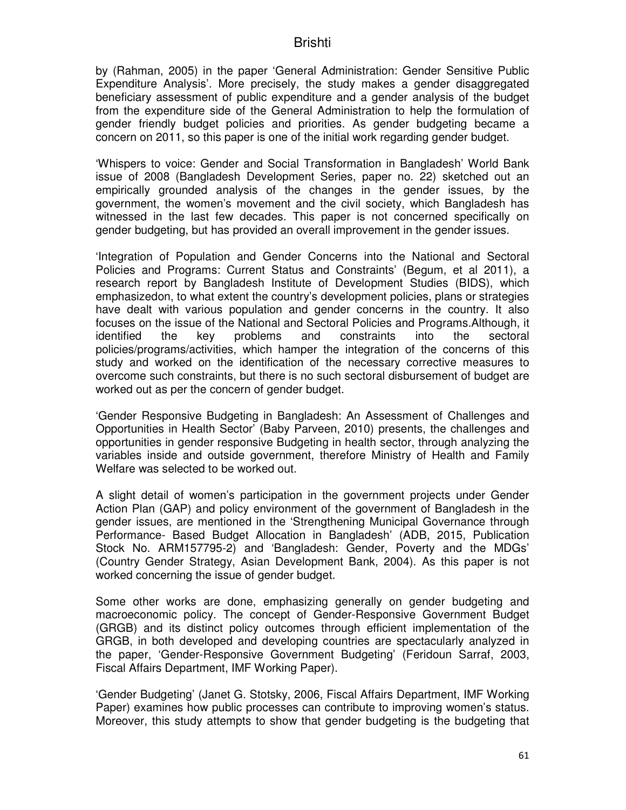by (Rahman, 2005) in the paper 'General Administration: Gender Sensitive Public Expenditure Analysis'. More precisely, the study makes a gender disaggregated beneficiary assessment of public expenditure and a gender analysis of the budget from the expenditure side of the General Administration to help the formulation of gender friendly budget policies and priorities. As gender budgeting became a concern on 2011, so this paper is one of the initial work regarding gender budget.

'Whispers to voice: Gender and Social Transformation in Bangladesh' World Bank issue of 2008 (Bangladesh Development Series, paper no. 22) sketched out an empirically grounded analysis of the changes in the gender issues, by the government, the women's movement and the civil society, which Bangladesh has witnessed in the last few decades. This paper is not concerned specifically on gender budgeting, but has provided an overall improvement in the gender issues.

'Integration of Population and Gender Concerns into the National and Sectoral Policies and Programs: Current Status and Constraints' (Begum, et al 2011), a research report by Bangladesh Institute of Development Studies (BIDS), which emphasizedon, to what extent the country's development policies, plans or strategies have dealt with various population and gender concerns in the country. It also focuses on the issue of the National and Sectoral Policies and Programs.Although, it identified the key problems and constraints into the sectoral policies/programs/activities, which hamper the integration of the concerns of this study and worked on the identification of the necessary corrective measures to overcome such constraints, but there is no such sectoral disbursement of budget are worked out as per the concern of gender budget.

'Gender Responsive Budgeting in Bangladesh: An Assessment of Challenges and Opportunities in Health Sector' (Baby Parveen, 2010) presents, the challenges and opportunities in gender responsive Budgeting in health sector, through analyzing the variables inside and outside government, therefore Ministry of Health and Family Welfare was selected to be worked out.

A slight detail of women's participation in the government projects under Gender Action Plan (GAP) and policy environment of the government of Bangladesh in the gender issues, are mentioned in the 'Strengthening Municipal Governance through Performance- Based Budget Allocation in Bangladesh' (ADB, 2015, Publication Stock No. ARM157795-2) and 'Bangladesh: Gender, Poverty and the MDGs' (Country Gender Strategy, Asian Development Bank, 2004). As this paper is not worked concerning the issue of gender budget.

Some other works are done, emphasizing generally on gender budgeting and macroeconomic policy. The concept of Gender-Responsive Government Budget (GRGB) and its distinct policy outcomes through efficient implementation of the GRGB, in both developed and developing countries are spectacularly analyzed in the paper, 'Gender-Responsive Government Budgeting' (Feridoun Sarraf, 2003, Fiscal Affairs Department, IMF Working Paper).

'Gender Budgeting' (Janet G. Stotsky, 2006, Fiscal Affairs Department, IMF Working Paper) examines how public processes can contribute to improving women's status. Moreover, this study attempts to show that gender budgeting is the budgeting that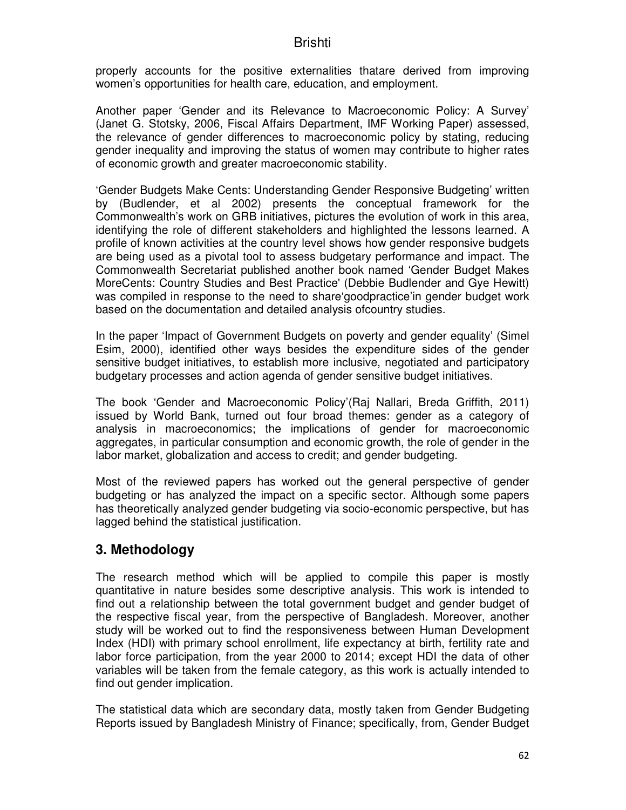properly accounts for the positive externalities thatare derived from improving women's opportunities for health care, education, and employment.

Another paper 'Gender and its Relevance to Macroeconomic Policy: A Survey' (Janet G. Stotsky, 2006, Fiscal Affairs Department, IMF Working Paper) assessed, the relevance of gender differences to macroeconomic policy by stating, reducing gender inequality and improving the status of women may contribute to higher rates of economic growth and greater macroeconomic stability.

'Gender Budgets Make Cents: Understanding Gender Responsive Budgeting' written by (Budlender, et al 2002) presents the conceptual framework for the Commonwealth's work on GRB initiatives, pictures the evolution of work in this area, identifying the role of different stakeholders and highlighted the lessons learned. A profile of known activities at the country level shows how gender responsive budgets are being used as a pivotal tool to assess budgetary performance and impact. The Commonwealth Secretariat published another book named 'Gender Budget Makes MoreCents: Country Studies and Best Practice' (Debbie Budlender and Gye Hewitt) was compiled in response to the need to share'goodpractice'in gender budget work based on the documentation and detailed analysis ofcountry studies.

In the paper 'Impact of Government Budgets on poverty and gender equality' (Simel Esim, 2000), identified other ways besides the expenditure sides of the gender sensitive budget initiatives, to establish more inclusive, negotiated and participatory budgetary processes and action agenda of gender sensitive budget initiatives.

The book 'Gender and Macroeconomic Policy'(Raj Nallari, Breda Griffith, 2011) issued by World Bank, turned out four broad themes: gender as a category of analysis in macroeconomics; the implications of gender for macroeconomic aggregates, in particular consumption and economic growth, the role of gender in the labor market, globalization and access to credit; and gender budgeting.

Most of the reviewed papers has worked out the general perspective of gender budgeting or has analyzed the impact on a specific sector. Although some papers has theoretically analyzed gender budgeting via socio-economic perspective, but has lagged behind the statistical justification.

## **3. Methodology**

The research method which will be applied to compile this paper is mostly quantitative in nature besides some descriptive analysis. This work is intended to find out a relationship between the total government budget and gender budget of the respective fiscal year, from the perspective of Bangladesh. Moreover, another study will be worked out to find the responsiveness between Human Development Index (HDI) with primary school enrollment, life expectancy at birth, fertility rate and labor force participation, from the year 2000 to 2014; except HDI the data of other variables will be taken from the female category, as this work is actually intended to find out gender implication.

The statistical data which are secondary data, mostly taken from Gender Budgeting Reports issued by Bangladesh Ministry of Finance; specifically, from, Gender Budget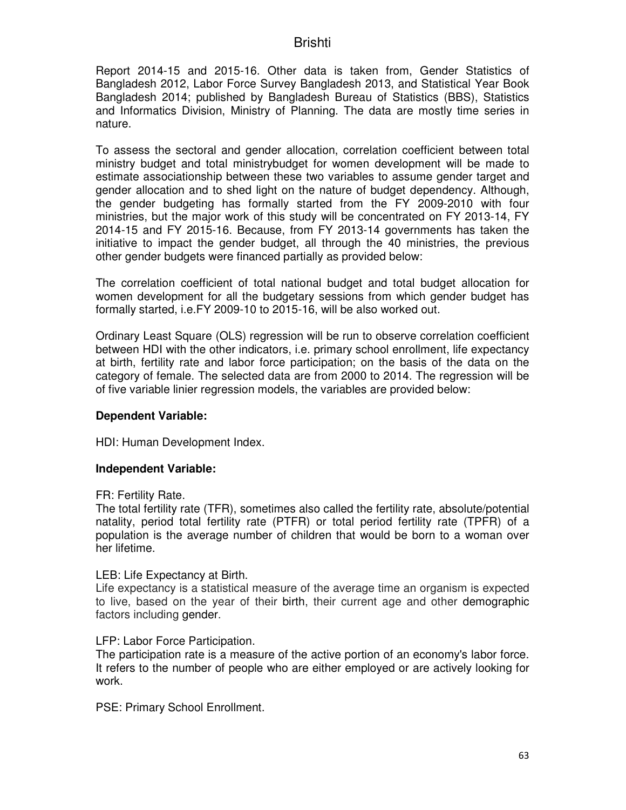Report 2014-15 and 2015-16. Other data is taken from, Gender Statistics of Bangladesh 2012, Labor Force Survey Bangladesh 2013, and Statistical Year Book Bangladesh 2014; published by Bangladesh Bureau of Statistics (BBS), Statistics and Informatics Division, Ministry of Planning. The data are mostly time series in nature.

To assess the sectoral and gender allocation, correlation coefficient between total ministry budget and total ministrybudget for women development will be made to estimate associationship between these two variables to assume gender target and gender allocation and to shed light on the nature of budget dependency. Although, the gender budgeting has formally started from the FY 2009-2010 with four ministries, but the major work of this study will be concentrated on FY 2013-14, FY 2014-15 and FY 2015-16. Because, from FY 2013-14 governments has taken the initiative to impact the gender budget, all through the 40 ministries, the previous other gender budgets were financed partially as provided below:

The correlation coefficient of total national budget and total budget allocation for women development for all the budgetary sessions from which gender budget has formally started, i.e.FY 2009-10 to 2015-16, will be also worked out.

Ordinary Least Square (OLS) regression will be run to observe correlation coefficient between HDI with the other indicators, i.e. primary school enrollment, life expectancy at birth, fertility rate and labor force participation; on the basis of the data on the category of female. The selected data are from 2000 to 2014. The regression will be of five variable linier regression models, the variables are provided below:

#### **Dependent Variable:**

HDI: Human Development Index.

#### **Independent Variable:**

FR: Fertility Rate.

The total fertility rate (TFR), sometimes also called the fertility rate, absolute/potential natality, period total fertility rate (PTFR) or total period fertility rate (TPFR) of a population is the average number of children that would be born to a woman over her lifetime.

LEB: Life Expectancy at Birth.

Life expectancy is a statistical measure of the average time an organism is expected to live, based on the year of their birth, their current age and other demographic factors including gender.

#### LFP: Labor Force Participation.

The participation rate is a measure of the active portion of an economy's labor force. It refers to the number of people who are either employed or are actively looking for work.

PSE: Primary School Enrollment.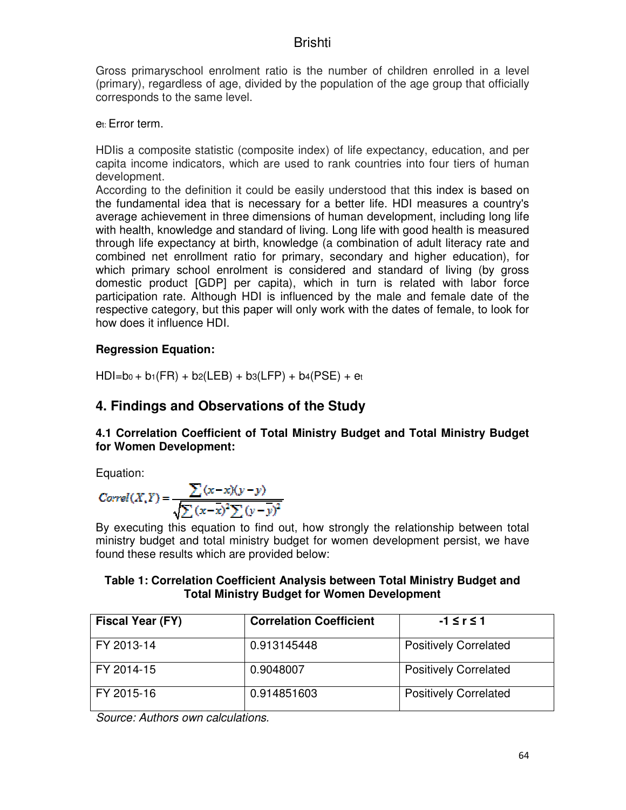Gross primaryschool enrolment ratio is the number of children enrolled in a level (primary), regardless of age, divided by the population of the age group that officially corresponds to the same level.

et: Error term.

HDIis a composite statistic (composite index) of life expectancy, education, and per capita income indicators, which are used to rank countries into four tiers of human development.

According to the definition it could be easily understood that this index is based on the fundamental idea that is necessary for a better life. HDI measures a country's average achievement in three dimensions of human development, including long life with health, knowledge and standard of living. Long life with good health is measured through life expectancy at birth, knowledge (a combination of adult literacy rate and combined net enrollment ratio for primary, secondary and higher education), for which primary school enrolment is considered and standard of living (by gross domestic product [GDP] per capita), which in turn is related with labor force participation rate. Although HDI is influenced by the male and female date of the respective category, but this paper will only work with the dates of female, to look for how does it influence HDI.

### **Regression Equation:**

 $HDI=b_0 + b_1(FR) + b_2(LEB) + b_3(LFP) + b_4(PSE) + e_1$ 

## **4. Findings and Observations of the Study**

#### **4.1 Correlation Coefficient of Total Ministry Budget and Total Ministry Budget for Women Development:**

Equation:

$$
Correl(X,Y) = \frac{\sum (x-x)(y-y)}{\sqrt{\sum (x-\overline{x})^2 \sum (y-\overline{y})^2}}
$$

By executing this equation to find out, how strongly the relationship between total ministry budget and total ministry budget for women development persist, we have found these results which are provided below:

#### **Table 1: Correlation Coefficient Analysis between Total Ministry Budget and Total Ministry Budget for Women Development**

| Fiscal Year (FY) | <b>Correlation Coefficient</b> | $-1 \le r \le 1$             |
|------------------|--------------------------------|------------------------------|
| FY 2013-14       | 0.913145448                    | <b>Positively Correlated</b> |
| FY 2014-15       | 0.9048007                      | <b>Positively Correlated</b> |
| FY 2015-16       | 0.914851603                    | <b>Positively Correlated</b> |

*Source: Authors own calculations.*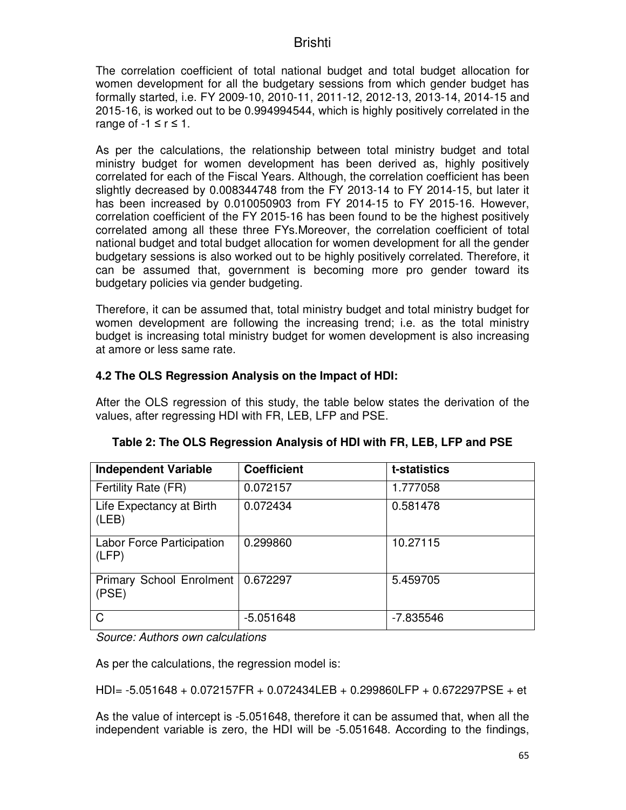The correlation coefficient of total national budget and total budget allocation for women development for all the budgetary sessions from which gender budget has formally started, i.e. FY 2009-10, 2010-11, 2011-12, 2012-13, 2013-14, 2014-15 and 2015-16, is worked out to be 0.994994544, which is highly positively correlated in the range of  $-1 \le r \le 1$ .

As per the calculations, the relationship between total ministry budget and total ministry budget for women development has been derived as, highly positively correlated for each of the Fiscal Years. Although, the correlation coefficient has been slightly decreased by 0.008344748 from the FY 2013-14 to FY 2014-15, but later it has been increased by 0.010050903 from FY 2014-15 to FY 2015-16. However, correlation coefficient of the FY 2015-16 has been found to be the highest positively correlated among all these three FYs.Moreover, the correlation coefficient of total national budget and total budget allocation for women development for all the gender budgetary sessions is also worked out to be highly positively correlated. Therefore, it can be assumed that, government is becoming more pro gender toward its budgetary policies via gender budgeting.

Therefore, it can be assumed that, total ministry budget and total ministry budget for women development are following the increasing trend; i.e. as the total ministry budget is increasing total ministry budget for women development is also increasing at amore or less same rate.

### **4.2 The OLS Regression Analysis on the Impact of HDI:**

After the OLS regression of this study, the table below states the derivation of the values, after regressing HDI with FR, LEB, LFP and PSE.

| <b>Independent Variable</b>               | <b>Coefficient</b> | t-statistics |
|-------------------------------------------|--------------------|--------------|
| Fertility Rate (FR)                       | 0.072157           | 1.777058     |
| Life Expectancy at Birth<br>(LEB)         | 0.072434           | 0.581478     |
| <b>Labor Force Participation</b><br>(LFP) | 0.299860           | 10.27115     |
| Primary School Enrolment<br>(PSE)         | 0.672297           | 5.459705     |
| $\mathsf{C}$                              | $-5.051648$        | -7.835546    |

*Source: Authors own calculations* 

As per the calculations, the regression model is:

HDI= -5.051648 + 0.072157FR + 0.072434LEB + 0.299860LFP + 0.672297PSE + et

As the value of intercept is -5.051648, therefore it can be assumed that, when all the independent variable is zero, the HDI will be -5.051648. According to the findings,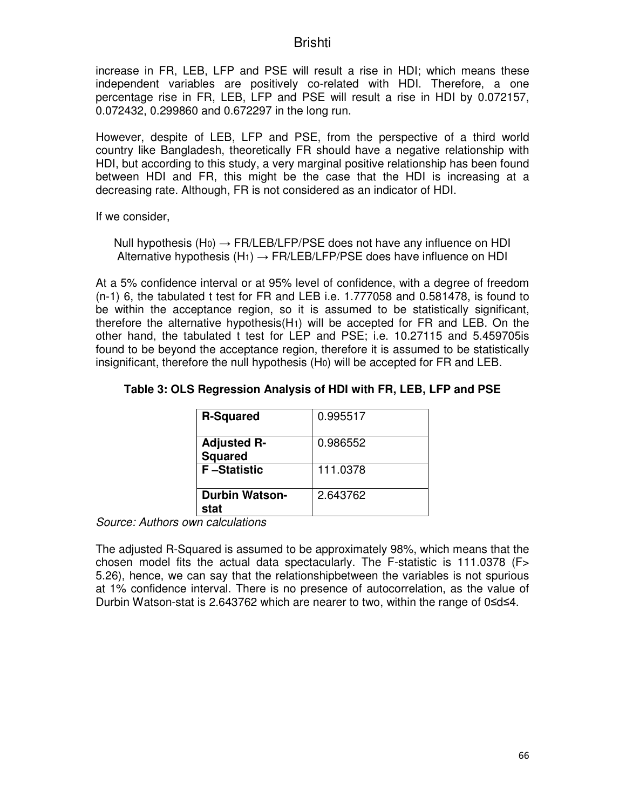increase in FR, LEB, LFP and PSE will result a rise in HDI; which means these independent variables are positively co-related with HDI. Therefore, a one percentage rise in FR, LEB, LFP and PSE will result a rise in HDI by 0.072157, 0.072432, 0.299860 and 0.672297 in the long run.

However, despite of LEB, LFP and PSE, from the perspective of a third world country like Bangladesh, theoretically FR should have a negative relationship with HDI, but according to this study, a very marginal positive relationship has been found between HDI and FR, this might be the case that the HDI is increasing at a decreasing rate. Although, FR is not considered as an indicator of HDI.

If we consider,

Null hypothesis (H<sub>0</sub>)  $\rightarrow$  FR/LEB/LFP/PSE does not have any influence on HDI Alternative hypothesis  $(H_1) \rightarrow FR/LEB/LFP/PSE$  does have influence on HDI

At a 5% confidence interval or at 95% level of confidence, with a degree of freedom (n-1) 6, the tabulated t test for FR and LEB i.e. 1.777058 and 0.581478, is found to be within the acceptance region, so it is assumed to be statistically significant, therefore the alternative hypothesis( $H_1$ ) will be accepted for FR and LEB. On the other hand, the tabulated t test for LEP and PSE; i.e. 10.27115 and 5.459705is found to be beyond the acceptance region, therefore it is assumed to be statistically insignificant, therefore the null hypothesis (H0) will be accepted for FR and LEB.

| <b>R-Squared</b>                     | 0.995517 |
|--------------------------------------|----------|
| <b>Adjusted R-</b><br><b>Squared</b> | 0.986552 |
| <b>F-Statistic</b>                   | 111.0378 |
| <b>Durbin Watson-</b><br>stat        | 2.643762 |

#### **Table 3: OLS Regression Analysis of HDI with FR, LEB, LFP and PSE**

*Source: Authors own calculations*

The adjusted R-Squared is assumed to be approximately 98%, which means that the chosen model fits the actual data spectacularly. The F-statistic is 111.0378 (F> 5.26), hence, we can say that the relationshipbetween the variables is not spurious at 1% confidence interval. There is no presence of autocorrelation, as the value of Durbin Watson-stat is 2.643762 which are nearer to two, within the range of 0≤d≤4.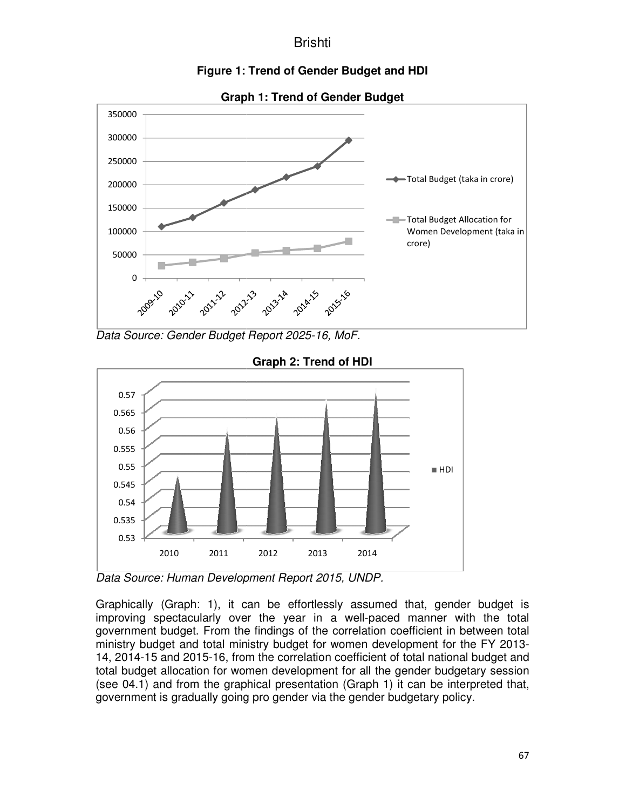



**Graph** 

Data Source: Gender Budget Report 2025-16, MoF.



**Graph 2: Trend of HDI** 

*Data Source: Human Development Report 2015, UNDP. Human* 

Graphically (Graph: 1), it can be effortlessly assumed that, gender budget is Graphically (Graph: 1), it can be effortlessly assumed that, gender budget is<br>improving spectacularly over the year in a well-paced manner with the total improving spectacularly over the year in a well-paced manner with the total<br>government budget. From the findings of the correlation coefficient in between total ministry budget and total ministry budget for women development for the FY 2013-14, 2014-15 and 2015-16, from the correlation coefficient of total national budget and total budget allocation for women development for all the gender budgetary session (see 04.1) and from the graphical presentation (Graph 1) it can be interpreted that, government is gradually going pro gender via the gender budgetary policy tion coefficient of total national b<br>ment for all the gender budgetar<br>tation (Graph 1) it can be interpr<br>via the gender budgetary policy.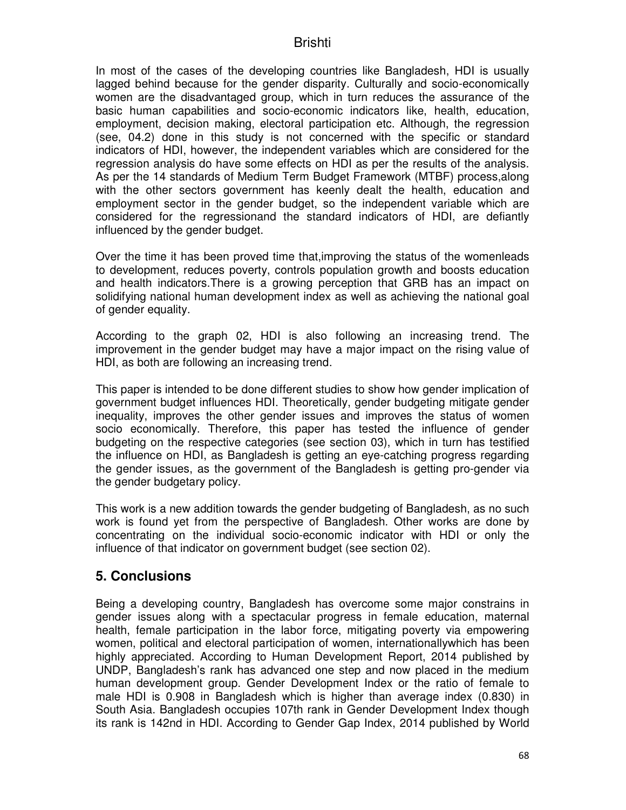In most of the cases of the developing countries like Bangladesh, HDI is usually lagged behind because for the gender disparity. Culturally and socio-economically women are the disadvantaged group, which in turn reduces the assurance of the basic human capabilities and socio-economic indicators like, health, education, employment, decision making, electoral participation etc. Although, the regression (see, 04.2) done in this study is not concerned with the specific or standard indicators of HDI, however, the independent variables which are considered for the regression analysis do have some effects on HDI as per the results of the analysis. As per the 14 standards of Medium Term Budget Framework (MTBF) process,along with the other sectors government has keenly dealt the health, education and employment sector in the gender budget, so the independent variable which are considered for the regressionand the standard indicators of HDI, are defiantly influenced by the gender budget.

Over the time it has been proved time that,improving the status of the womenleads to development, reduces poverty, controls population growth and boosts education and health indicators.There is a growing perception that GRB has an impact on solidifying national human development index as well as achieving the national goal of gender equality.

According to the graph 02, HDI is also following an increasing trend. The improvement in the gender budget may have a major impact on the rising value of HDI, as both are following an increasing trend.

This paper is intended to be done different studies to show how gender implication of government budget influences HDI. Theoretically, gender budgeting mitigate gender inequality, improves the other gender issues and improves the status of women socio economically. Therefore, this paper has tested the influence of gender budgeting on the respective categories (see section 03), which in turn has testified the influence on HDI, as Bangladesh is getting an eye-catching progress regarding the gender issues, as the government of the Bangladesh is getting pro-gender via the gender budgetary policy.

This work is a new addition towards the gender budgeting of Bangladesh, as no such work is found yet from the perspective of Bangladesh. Other works are done by concentrating on the individual socio-economic indicator with HDI or only the influence of that indicator on government budget (see section 02).

### **5. Conclusions**

Being a developing country, Bangladesh has overcome some major constrains in gender issues along with a spectacular progress in female education, maternal health, female participation in the labor force, mitigating poverty via empowering women, political and electoral participation of women, internationallywhich has been highly appreciated. According to Human Development Report, 2014 published by UNDP, Bangladesh's rank has advanced one step and now placed in the medium human development group. Gender Development Index or the ratio of female to male HDI is 0.908 in Bangladesh which is higher than average index (0.830) in South Asia. Bangladesh occupies 107th rank in Gender Development Index though its rank is 142nd in HDI. According to Gender Gap Index, 2014 published by World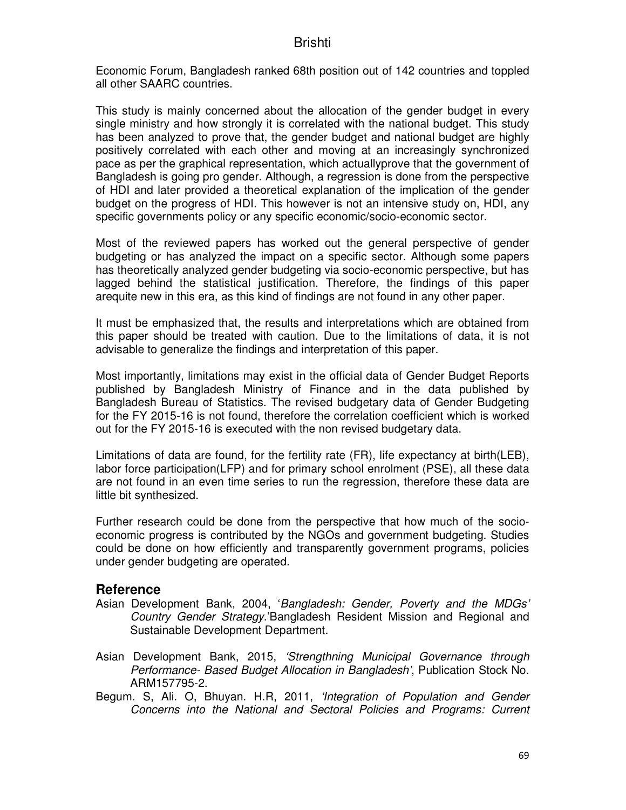Economic Forum, Bangladesh ranked 68th position out of 142 countries and toppled all other SAARC countries.

This study is mainly concerned about the allocation of the gender budget in every single ministry and how strongly it is correlated with the national budget. This study has been analyzed to prove that, the gender budget and national budget are highly positively correlated with each other and moving at an increasingly synchronized pace as per the graphical representation, which actuallyprove that the government of Bangladesh is going pro gender. Although, a regression is done from the perspective of HDI and later provided a theoretical explanation of the implication of the gender budget on the progress of HDI. This however is not an intensive study on, HDI, any specific governments policy or any specific economic/socio-economic sector.

Most of the reviewed papers has worked out the general perspective of gender budgeting or has analyzed the impact on a specific sector. Although some papers has theoretically analyzed gender budgeting via socio-economic perspective, but has lagged behind the statistical justification. Therefore, the findings of this paper arequite new in this era, as this kind of findings are not found in any other paper.

It must be emphasized that, the results and interpretations which are obtained from this paper should be treated with caution. Due to the limitations of data, it is not advisable to generalize the findings and interpretation of this paper.

Most importantly, limitations may exist in the official data of Gender Budget Reports published by Bangladesh Ministry of Finance and in the data published by Bangladesh Bureau of Statistics. The revised budgetary data of Gender Budgeting for the FY 2015-16 is not found, therefore the correlation coefficient which is worked out for the FY 2015-16 is executed with the non revised budgetary data.

Limitations of data are found, for the fertility rate (FR), life expectancy at birth(LEB), labor force participation(LFP) and for primary school enrolment (PSE), all these data are not found in an even time series to run the regression, therefore these data are little bit synthesized.

Further research could be done from the perspective that how much of the socioeconomic progress is contributed by the NGOs and government budgeting. Studies could be done on how efficiently and transparently government programs, policies under gender budgeting are operated.

#### **Reference**

- Asian Development Bank, 2004, '*Bangladesh: Gender, Poverty and the MDGs' Country Gender Strategy*.'Bangladesh Resident Mission and Regional and Sustainable Development Department.
- Asian Development Bank, 2015, *'Strengthning Municipal Governance through Performance- Based Budget Allocation in Bangladesh'*, Publication Stock No. ARM157795-2.
- Begum. S, Ali. O, Bhuyan. H.R, 2011, *'Integration of Population and Gender Concerns into the National and Sectoral Policies and Programs: Current*